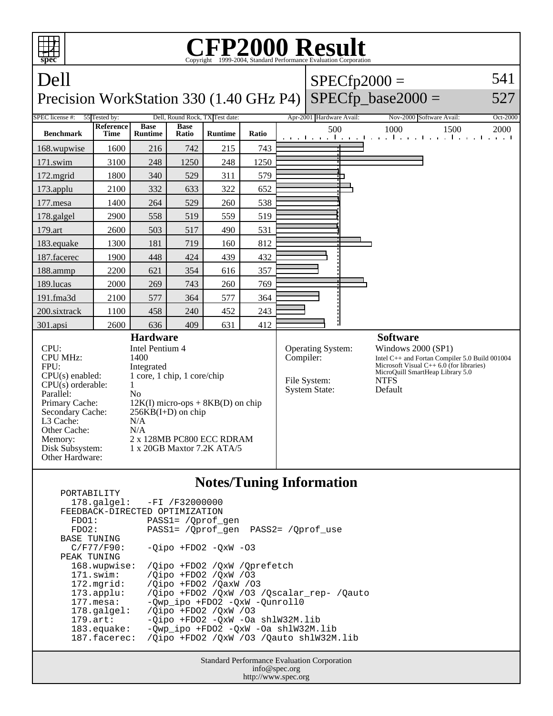| FP2000 Result<br>Copyright ©1999-2004, Standard Performance Evaluation Corporation<br>spec                                                                                                                   |                                 |                                                                                                                                                                                                                                                        |                      |                                 |       |  |                                                                               |                                                                                                                                                                                                     |          |  |
|--------------------------------------------------------------------------------------------------------------------------------------------------------------------------------------------------------------|---------------------------------|--------------------------------------------------------------------------------------------------------------------------------------------------------------------------------------------------------------------------------------------------------|----------------------|---------------------------------|-------|--|-------------------------------------------------------------------------------|-----------------------------------------------------------------------------------------------------------------------------------------------------------------------------------------------------|----------|--|
| Dell                                                                                                                                                                                                         |                                 |                                                                                                                                                                                                                                                        |                      |                                 |       |  | $SPECfp2000 =$                                                                |                                                                                                                                                                                                     |          |  |
| $SPECfp\_base2000 =$<br>Precision WorkStation 330 (1.40 GHz P4)                                                                                                                                              |                                 |                                                                                                                                                                                                                                                        |                      |                                 |       |  |                                                                               | 527                                                                                                                                                                                                 |          |  |
| SPEC license #:                                                                                                                                                                                              | 55 Tested by:                   |                                                                                                                                                                                                                                                        |                      | Dell, Round Rock, TX Test date: |       |  | Apr-2001 Hardware Avail:                                                      | Nov-2000 Software Avail:                                                                                                                                                                            | Oct-2000 |  |
| <b>Benchmark</b>                                                                                                                                                                                             | <b>Reference</b><br><b>Time</b> | <b>Base</b><br><b>Runtime</b>                                                                                                                                                                                                                          | <b>Base</b><br>Ratio | <b>Runtime</b>                  | Ratio |  | 500                                                                           | 1000<br>1500<br>المتوجا وتوجا وتوجا وتوجا وتوجا وتوجا وتوجا وتو                                                                                                                                     | 2000     |  |
| 168.wupwise                                                                                                                                                                                                  | 1600                            | 216                                                                                                                                                                                                                                                    | 742                  | 215                             | 743   |  |                                                                               |                                                                                                                                                                                                     |          |  |
| $171$ .swim                                                                                                                                                                                                  | 3100                            | 248                                                                                                                                                                                                                                                    | 1250                 | 248                             | 1250  |  |                                                                               |                                                                                                                                                                                                     |          |  |
| 172.mgrid                                                                                                                                                                                                    | 1800                            | 340                                                                                                                                                                                                                                                    | 529                  | 311                             | 579   |  |                                                                               |                                                                                                                                                                                                     |          |  |
| 173.applu                                                                                                                                                                                                    | 2100                            | 332                                                                                                                                                                                                                                                    | 633                  | 322                             | 652   |  |                                                                               |                                                                                                                                                                                                     |          |  |
| $177$ .mesa                                                                                                                                                                                                  | 1400                            | 264                                                                                                                                                                                                                                                    | 529                  | 260                             | 538   |  |                                                                               |                                                                                                                                                                                                     |          |  |
| 178.galgel                                                                                                                                                                                                   | 2900                            | 558                                                                                                                                                                                                                                                    | 519                  | 559                             | 519   |  |                                                                               |                                                                                                                                                                                                     |          |  |
| 179.art                                                                                                                                                                                                      | 2600                            | 503                                                                                                                                                                                                                                                    | 517                  | 490                             | 531   |  |                                                                               |                                                                                                                                                                                                     |          |  |
| 183.equake                                                                                                                                                                                                   | 1300                            | 181                                                                                                                                                                                                                                                    | 719                  | 160                             | 812   |  |                                                                               |                                                                                                                                                                                                     |          |  |
| 187.facerec                                                                                                                                                                                                  | 1900                            | 448                                                                                                                                                                                                                                                    | 424                  | 439                             | 432   |  |                                                                               |                                                                                                                                                                                                     |          |  |
| 188.ammp                                                                                                                                                                                                     | 2200                            | 621                                                                                                                                                                                                                                                    | 354                  | 616                             | 357   |  |                                                                               |                                                                                                                                                                                                     |          |  |
| 189.lucas                                                                                                                                                                                                    | 2000                            | 269                                                                                                                                                                                                                                                    | 743                  | 260                             | 769   |  |                                                                               |                                                                                                                                                                                                     |          |  |
| 191.fma3d                                                                                                                                                                                                    | 2100                            | 577                                                                                                                                                                                                                                                    | 364                  | 577                             | 364   |  |                                                                               |                                                                                                                                                                                                     |          |  |
| 200.sixtrack                                                                                                                                                                                                 | 1100                            | 458                                                                                                                                                                                                                                                    | 240                  | 452                             | 243   |  |                                                                               |                                                                                                                                                                                                     |          |  |
| 301.apsi                                                                                                                                                                                                     | 2600                            | 636                                                                                                                                                                                                                                                    | 409                  | 631                             | 412   |  |                                                                               |                                                                                                                                                                                                     |          |  |
| CPU:<br><b>CPU MHz:</b><br>FPU:<br>$CPU(s)$ enabled:<br>$CPU(s)$ orderable:<br>Parallel:<br>Primary Cache:<br>Secondary Cache:<br>L3 Cache:<br>Other Cache:<br>Memory:<br>Disk Subsystem:<br>Other Hardware: |                                 | <b>Hardware</b><br>Intel Pentium 4<br>1400<br>Integrated<br>1 core, 1 chip, 1 core/chip<br>1<br>N <sub>0</sub><br>$12K(I)$ micro-ops + 8KB(D) on chip<br>$256KB(I+D)$ on chip<br>N/A<br>N/A<br>2 x 128MB PC800 ECC RDRAM<br>1 x 20GB Maxtor 7.2K ATA/5 |                      |                                 |       |  | <b>Operating System:</b><br>Compiler:<br>File System:<br><b>System State:</b> | <b>Software</b><br>Windows 2000 (SP1)<br>Intel C++ and Fortan Compiler 5.0 Build 001004<br>Microsoft Visual $C++ 6.0$ (for libraries)<br>MicroQuill SmartHeap Library 5.0<br><b>NTFS</b><br>Default |          |  |
| Notes/Tuning Information                                                                                                                                                                                     |                                 |                                                                                                                                                                                                                                                        |                      |                                 |       |  |                                                                               |                                                                                                                                                                                                     |          |  |

## **Notes/Tuning Information**

| PORTABILITY<br>FDO1: | 178.galgel: -FI /F32000000<br>FEEDBACK-DIRECTED OPTIMIZATION<br>PASS1= /Oprof gen |  |  |  |  |  |  |
|----------------------|-----------------------------------------------------------------------------------|--|--|--|--|--|--|
| FDO2:                | PASS1= /Oprof gen PASS2= /Oprof use                                               |  |  |  |  |  |  |
| BASE TUNING          |                                                                                   |  |  |  |  |  |  |
| $C/F77/F90$ :        | $-Oipo$ +FDO2 $-OxW$ -O3                                                          |  |  |  |  |  |  |
| PEAK TUNING          |                                                                                   |  |  |  |  |  |  |
| 168.wupwise:         | /Qipo +FDO2 /QxW /Qprefetch                                                       |  |  |  |  |  |  |
| $171$ .swim:         | /Oipo +FDO2 /OxW /03                                                              |  |  |  |  |  |  |
| $172.\text{mgrid}:$  | /Oipo +FD02 /OaxW /03                                                             |  |  |  |  |  |  |
| 173.append:          | /Oipo +FDO2 /OxW /O3 /Oscalar rep- /Oauto                                         |  |  |  |  |  |  |
| $177.\text{mesa}$ :  | -Owp ipo +FDO2 -OxW -Ounroll0                                                     |  |  |  |  |  |  |
| $178.\text{q}$       | /Oipo +FD02 /OxW /03                                                              |  |  |  |  |  |  |
| $179.\text{art}$ :   | -Oipo +FDO2 -OxW -Oa shlW32M.lib                                                  |  |  |  |  |  |  |
| $183$ .equake:       | -Owp ipo +FDO2 -OxW -Oa shlW32M.lib                                               |  |  |  |  |  |  |
| 187.facerec:         | /Oipo +FDO2 /OxW /O3 /Oauto shlW32M.lib                                           |  |  |  |  |  |  |
|                      |                                                                                   |  |  |  |  |  |  |

Standard Performance Evaluation Corporation info@spec.org http://www.spec.org